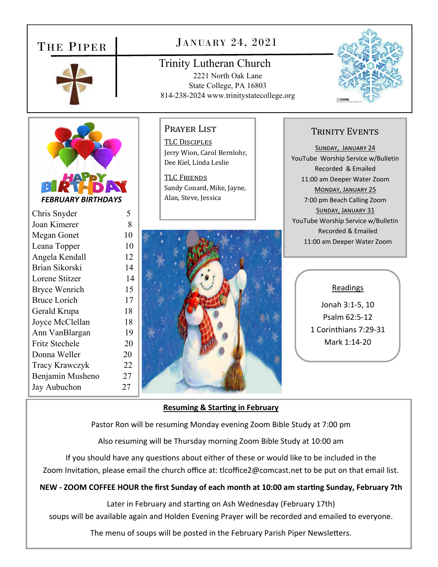## THE PIPER



## JANUARY 24, 2021

Trinity Lutheran Church 2221 North Oak Lane State College, PA 16803 814-238-2024 www.trinitystatecollege.org





*FEBRUARY BIRTHDAYS* 

| Chris Snyder          | 5  |
|-----------------------|----|
| Joan Kimerer          | 8  |
| Megan Gonet           | 10 |
| Leana Topper          | 10 |
| Angela Kendall        | 12 |
| Brian Sikorski        | 14 |
| Lorene Stitzer        | 14 |
| Bryce Wenrich         | 15 |
| <b>Bruce Lorich</b>   | 17 |
| Gerald Krupa          | 18 |
| Joyce McClellan       | 18 |
| Ann VanBlargan        | 19 |
| Fritz Stechele        | 20 |
| Donna Weller          | 20 |
| <b>Tracy Krawczyk</b> | 22 |
| Benjamin Musheno      | 27 |
| Jay Aubuchon          | 27 |

Prayer List

TLC DISCIPLES Jerry Wion, Carol Bernlohr, Dee Kiel, Linda Leslie

TLC FRIENDS Sandy Conard, Mike, Jayne, Alan, Steve, Jessica



### TRINITY EVENTS

SUNDAY, JANUARY 24 YouTube Worship Service w/Bulletin Recorded & Emailed 11:00 am Deeper Water Zoom MONDAY, JANUARY 25 7:00 pm Beach Calling Zoom SUNDAY, JANUARY 31 YouTube Worship Service w/Bulletin Recorded & Emailed 11:00 am Deeper Water Zoom

#### Readings

Jonah 3:1‐5, 10 Psalm 62:5‐12 1 Corinthians 7:29‐31 Mark 1:14‐20

#### **Resuming & StarƟng in February**

Pastor Ron will be resuming Monday evening Zoom Bible Study at 7:00 pm

Also resuming will be Thursday morning Zoom Bible Study at 10:00 am

If you should have any questions about either of these or would like to be included in the Zoom Invitation, please email the church office at: tlcoffice2@comcast.net to be put on that email list.

### **NEW ‐ ZOOM COFFEE HOUR the first Sunday of each month at 10:00 am starƟng Sunday, February 7th**

Later in February and starting on Ash Wednesday (February 17th)

soups will be available again and Holden Evening Prayer will be recorded and emailed to everyone.

The menu of soups will be posted in the February Parish Piper Newsletters.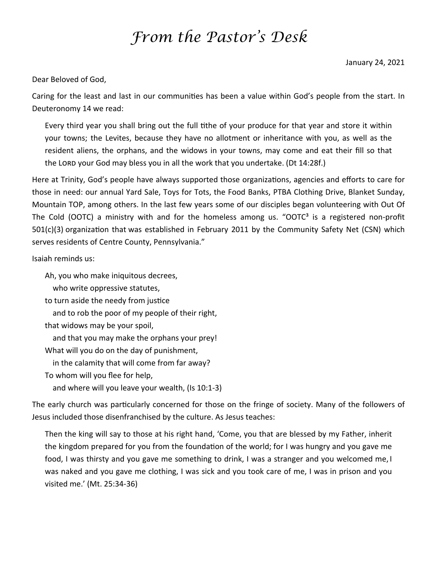# *From the Pastor's Desk*

Dear Beloved of God,

Caring for the least and last in our communities has been a value within God's people from the start. In Deuteronomy 14 we read:

Every third year you shall bring out the full tithe of your produce for that year and store it within your towns; the Levites, because they have no allotment or inheritance with you, as well as the resident aliens, the orphans, and the widows in your towns, may come and eat their fill so that the LORD your God may bless you in all the work that you undertake. (Dt 14:28f.)

Here at Trinity, God's people have always supported those organizations, agencies and efforts to care for those in need: our annual Yard Sale, Toys for Tots, the Food Banks, PTBA Clothing Drive, Blanket Sunday, Mountain TOP, among others. In the last few years some of our disciples began volunteering with Out Of The Cold (OOTC) a ministry with and for the homeless among us. "OOTC<sup>3</sup> is a registered non-profit 501(c)(3) organization that was established in February 2011 by the Community Safety Net (CSN) which serves residents of Centre County, Pennsylvania."

Isaiah reminds us:

Ah, you who make iniquitous decrees,

who write oppressive statutes,

to turn aside the needy from justice

and to rob the poor of my people of their right,

that widows may be your spoil,

and that you may make the orphans your prey!

What will you do on the day of punishment,

in the calamity that will come from far away?

To whom will you flee for help,

and where will you leave your wealth, (Is 10:1‐3)

The early church was particularly concerned for those on the fringe of society. Many of the followers of Jesus included those disenfranchised by the culture. As Jesus teaches:

Then the king will say to those at his right hand, 'Come, you that are blessed by my Father, inherit the kingdom prepared for you from the foundation of the world; for I was hungry and you gave me food, I was thirsty and you gave me something to drink, I was a stranger and you welcomed me, I was naked and you gave me clothing, I was sick and you took care of me, I was in prison and you visited me.' (Mt. 25:34‐36)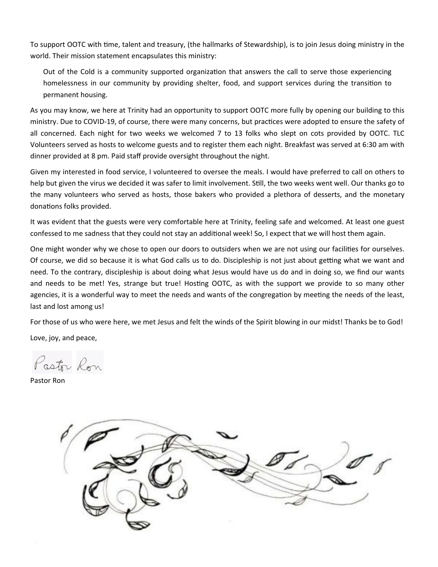To support OOTC with time, talent and treasury, (the hallmarks of Stewardship), is to join Jesus doing ministry in the world. Their mission statement encapsulates this ministry:

Out of the Cold is a community supported organization that answers the call to serve those experiencing homelessness in our community by providing shelter, food, and support services during the transition to permanent housing.

As you may know, we here at Trinity had an opportunity to support OOTC more fully by opening our building to this ministry. Due to COVID-19, of course, there were many concerns, but practices were adopted to ensure the safety of all concerned. Each night for two weeks we welcomed 7 to 13 folks who slept on cots provided by OOTC. TLC Volunteers served as hosts to welcome guests and to register them each night. Breakfast was served at 6:30 am with dinner provided at 8 pm. Paid staff provide oversight throughout the night.

Given my interested in food service, I volunteered to oversee the meals. I would have preferred to call on others to help but given the virus we decided it was safer to limit involvement. Still, the two weeks went well. Our thanks go to the many volunteers who served as hosts, those bakers who provided a plethora of desserts, and the monetary donations folks provided.

It was evident that the guests were very comfortable here at Trinity, feeling safe and welcomed. At least one guest confessed to me sadness that they could not stay an additional week! So, I expect that we will host them again.

One might wonder why we chose to open our doors to outsiders when we are not using our facilities for ourselves. Of course, we did so because it is what God calls us to do. Discipleship is not just about getting what we want and need. To the contrary, discipleship is about doing what Jesus would have us do and in doing so, we find our wants and needs to be met! Yes, strange but true! Hosting OOTC, as with the support we provide to so many other agencies, it is a wonderful way to meet the needs and wants of the congregation by meeting the needs of the least, last and lost among us!

For those of us who were here, we met Jesus and felt the winds of the Spirit blowing in our midst! Thanks be to God!

Love, joy, and peace,

Pastor Ron

Pastor Ron